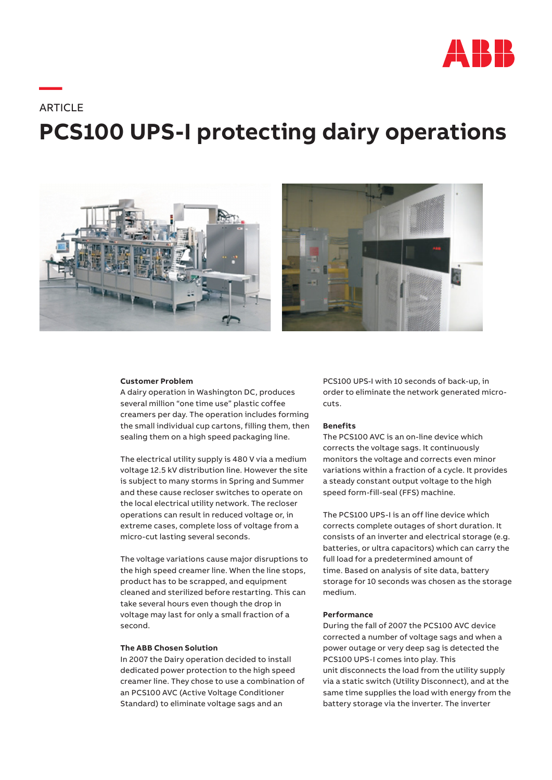

# **—ARTICLE PCS100 UPS-I protecting dairy operations**





### **Customer Problem**

A dairy operation in Washington DC, produces several million "one time use" plastic coffee creamers per day. The operation includes forming the small individual cup cartons, filling them, then sealing them on a high speed packaging line.

The electrical utility supply is 480 V via a medium voltage 12.5 kV distribution line. However the site is subject to many storms in Spring and Summer and these cause recloser switches to operate on the local electrical utility network. The recloser operations can result in reduced voltage or, in extreme cases, complete loss of voltage from a micro-cut lasting several seconds.

The voltage variations cause major disruptions to the high speed creamer line. When the line stops, product has to be scrapped, and equipment cleaned and sterilized before restarting. This can take several hours even though the drop in voltage may last for only a small fraction of a second.

## **The ABB Chosen Solution**

In 2007 the Dairy operation decided to install dedicated power protection to the high speed creamer line. They chose to use a combination of an PCS100 AVC (Active Voltage Conditioner Standard) to eliminate voltage sags and an

PCS100 UPS-I with 10 seconds of back-up, in order to eliminate the network generated microcuts.

#### **Benefits**

The PCS100 AVC is an on-line device which corrects the voltage sags. It continuously monitors the voltage and corrects even minor variations within a fraction of a cycle. It provides a steady constant output voltage to the high speed form-fill-seal (FFS) machine.

The PCS100 UPS-I is an off line device which corrects complete outages of short duration. It consists of an inverter and electrical storage (e.g. batteries, or ultra capacitors) which can carry the full load for a predetermined amount of time. Based on analysis of site data, battery storage for 10 seconds was chosen as the storage medium.

## **Performance**

During the fall of 2007 the PCS100 AVC device corrected a number of voltage sags and when a power outage or very deep sag is detected the PCS100 UPS-I comes into play. This unit disconnects the load from the utility supply via a static switch (Utility Disconnect), and at the same time supplies the load with energy from the battery storage via the inverter. The inverter